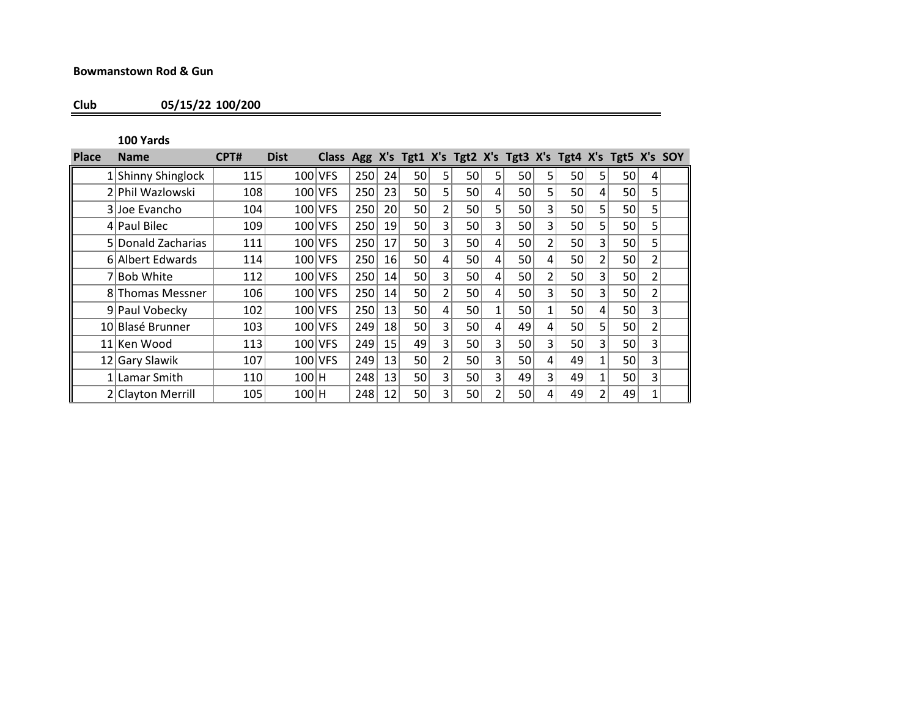## **Bowmanstown Rod & Gun**

**Club 05/15/22 100/200**

**100 Yards**

| <b>Place</b> | <b>Name</b>        | CPT# | <b>Dist</b> | Class Agg X's Tgt1 X's Tgt2 X's Tgt3 X's Tgt4 X's Tgt5 X's SOY |     |                 |                 |                |    |                |                 |                |                 |                |                 |                |  |
|--------------|--------------------|------|-------------|----------------------------------------------------------------|-----|-----------------|-----------------|----------------|----|----------------|-----------------|----------------|-----------------|----------------|-----------------|----------------|--|
|              | 1 Shinny Shinglock | 115  |             | $100$ VFS                                                      | 250 | 24              | 50              | 5 <sub>1</sub> | 50 | 5              | <b>50</b>       | 5 <sup>1</sup> | 50              | 5 <sup>1</sup> | 50              | 4              |  |
|              | 2 Phil Wazlowski   | 108  |             | 100 VFS                                                        | 250 | 23              | 50              | 5 <sub>1</sub> | 50 | 4              | 50 l            | 5              | 50 <sup>2</sup> | 4              | 50 <sup>1</sup> | 5              |  |
|              | 3 Joe Evancho      | 104  |             | 100 VFS                                                        | 250 | <b>20</b>       | 50              | 2              | 50 | 5              | 50              | 3              | 50              | 5              | 50              | 5              |  |
|              | $4$ Paul Bilec     | 109  |             | 100 VFS                                                        | 250 | 19 <sup>°</sup> | 50              | 3              | 50 | 3              | 50 l            | 3              | 50 <sup>2</sup> | 5 <sup>1</sup> | 50              | 5              |  |
|              | 5 Donald Zacharias | 111  |             | 100 VFS                                                        | 250 | 17              | 50              | 3              | 50 | 4              | 50              | 2              | 50 <sup>2</sup> | 3              | 50              | 5              |  |
|              | 6 Albert Edwards   | 114  |             | $100$ VFS                                                      | 250 | 16 <sup>1</sup> | 50 <sup>2</sup> | 4              | 50 | 4              | 50              | 4              | 50              | 2              | 50 <sup>2</sup> | 2              |  |
|              | <b>Bob White</b>   | 112  |             | $100$ VFS                                                      | 250 | 14              | 50              | 3              | 50 | 4              | 50              | 2              | 50              | 3              | 50              | $\mathfrak{p}$ |  |
|              | 8 Thomas Messner   | 106  |             | 100 VFS                                                        | 250 | 14              | 50              | 2              | 50 | 4              | 50              | 3              | 50              | 3              | 50              | 2              |  |
|              | 9 Paul Vobecky     | 102  |             | 100 VFS                                                        | 250 | 13              | 50              | 4              | 50 | 1              | 50              | $\mathbf{1}$   | 50 <sup>2</sup> | 4              | 50              | 3              |  |
|              | 10 Blasé Brunner   | 103  |             | $100$ VFS                                                      | 249 | 18              | 50              | 3              | 50 | 4              | 49              | 4              | 50              | 5 <sup>1</sup> | 50              | 2              |  |
|              | 11 Ken Wood        | 113  |             | $100$ VFS                                                      | 249 | 15              | 49              | 3              | 50 | $\overline{3}$ | 50              | 3              | 50              | 3              | 50              | 3              |  |
|              | 12 Gary Slawik     | 107  |             | $100$ VFS                                                      | 249 | 13              | 50              | 2              | 50 | 3              | 50 <sup>2</sup> | 4              | 49              | 1              | 50 <sup>1</sup> | 3              |  |
|              | 1 Lamar Smith      | 110  | 100 H       |                                                                | 248 | 13 <sup>1</sup> | 50              | 31             | 50 | 3              | 49              | 3 <sub>1</sub> | 49              | 1              | 50 <sup>1</sup> | 3              |  |
|              | 2 Clayton Merrill  | 105  | $100$ H     |                                                                | 248 | 12              | 50              | 3.             | 50 |                | 50 <sup>2</sup> | 4              | 49              | 2              | 49              |                |  |